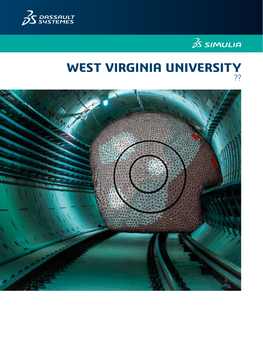



# **WEST VIRGINIA UNIVERSITY** ??

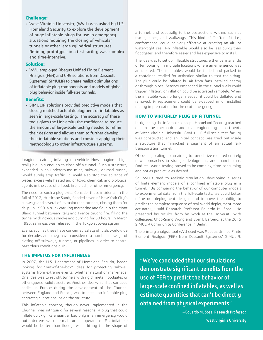# **Challenge:**

• West Virginia University (WVU) was asked by U.S. Homeland Security to explore the development of huge inflatable plugs for use in emergency situations requiring the closing of vehicular tunnels or other large cylindrical structures. Refining prototypes in a test facility was complex and time-intensive.

# **Solution:**

• WVU employed Abaqus Unified Finite Element Analysis (FEA) and CAE solutions from Dassault Systèmes' SIMULIA to create realistic simulations of inflatable plug components and models of global plug behavior inside full-size tunnels.

## **Benefits:**

• SIMULIA solutions provided predictive models that closely matched actual deployment of inflatables as seen in large-scale testing. The accuracy of these tools gives the University the confidence to reduce the amount of large-scale testing needed to refine their designs and allows them to further develop their inflatable solutions and consider applying their methodology to other infrastructure systems.

Imagine an airbag inflating in a vehicle. Now imagine it big really big—big enough to close off a tunnel. Such a structure, expanded in an underground mine, subway, or road tunnel, would surely stop traffic. It would also stop the advance of water, excessively heated air, or toxic, chemical, and biological agents in the case of a flood, fire, crash, or other emergency.

The need for such a plug exits. Consider these incidents: In the fall of 2012, Hurricane Sandy flooded seven of New York City's subways and several of its major road tunnels, closing them for days. In 1999, a truck carrying margarine and flour in the Mont Blanc Tunnel between Italy and France caught fire, filling the tunnel with noxious smoke and burning for 50 hours. In March 1995, sarin gas was released in the Tokyo subway system.

Events such as these have concerned safety officials worldwide for decades and they have considered a number of ways of closing off subways, tunnels, or pipelines in order to control hazardous conditions quickly.

# **THE IMPETUS FOR INFLATABLES**

In 2007, the U.S. Department of Homeland Security began looking for "out-of-the-box" ideas for protecting subway systems from extreme events, whether natural or man-made. One idea was to retrofit tunnels with rigid, metal floodgates or other types of solid structures. Another idea, which had surfaced earlier in Europe during the development of the Chunnel between England and France, was to install an inflatable plug at strategic locations inside the structure.

This inflatable concept, though never implemented in the Chunnel, was intriguing for several reasons. A plug that could inflate quickly like a giant airbag only in an emergency would not interfere with normal tunnel operations. An inflatable would be better than floodgates at fitting to the shape of a tunnel, and especially to the obstructions within, such as tracks, pipes, and walkways. This kind of "softer" fit—i.e., conformance—could be very effective at creating an air- or water-tight seal. An inflatable would also be less bulky than floodgates, and therefore easier and less expensive to install.

The idea was to set up inflatable structures, either permanently or temporarily, in multiple locations where an emergency was anticipated. The inflatables would be folded and packed in a container, readied for activation similar to that car airbag. The plug could be inflated by air from fans installed nearby or through pipes. Sensors embedded in the tunnel walls could trigger inflation, or inflation could be activated remotely. When the inflatable was no longer needed, it could be deflated and removed. A replacement could be swapped in or installed nearby in preparation for the next emergency.

# **HOW TO VIRTUALLY PLUG UP A TUNNEL**

Intrigued by the inflatable concept, Homeland Security reached out to the mechanical and civil engineering departments at West Virginia University (WVU). A full-scale test facility was constructed and an initial concept was tried out inside a structure that mimicked a segment of an actual railtransportation tunnel.

Of course, scaling up an airbag to tunnel size required entirely new approaches in storage, deployment, and manufacture. And real-world testing proved to be complex, time-consuming and not as predictive as desired.

So WVU turned to realistic simulation, developing a series of finite element models of a confined inflatable plug in a tunnel. "By comparing the behavior of our computer models to experimental data from the full-scale tests, we could better refine our deployment designs and improve the ability to predict the complete sequence of real-world deployment more accurately," said Research Professor Eduardo M. Sosa. He presented his results, from his work at the University with colleagues Choo-Siang Wong and Ever J. Barbero, at the 2015 SIMULIA Community Conference in Berlin.

The primary analysis tool WVU used was Abaqus Unified Finite Element Analysis (FEA) from Dassault Systèmes' SIMULIA.

"We've concluded that our simulations demonstrate significant benefits from the use of FEA to predict the behavior of large-scale confined inflatables, as well as estimate quantities that can't be directly obtained from physical experiments"

> —Eduardo M. Sosa, Research Professor, West Virginia University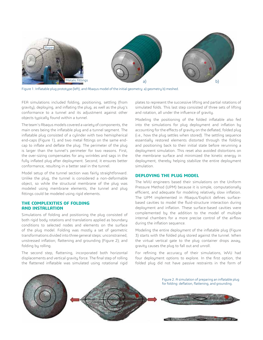

Figure 1. Inflatable plug prototype (left), and Abaqus model of the initial geometry: a) geometry b) meshed.

FEA simulations included folding, positioning, settling (from gravity), deploying, and inflating the plug, as well as the plug's conformance to a tunnel and its adjustment against other objects typically found within a tunnel.

The team's Abaqus models covered a variety of components, the main ones being the inflatable plug and a tunnel segment. The inflatable plug consisted of a cylinder with two hemispherical end-caps (Figure 1), and two metal fittings on the same endcap to inflate and deflate the plug. The perimeter of the plug is larger than the tunnel's perimeter for two reasons. First, the over-sizing compensates for any wrinkles and sags in the fully inflated plug after deployment. Second, it ensures better conformance, resulting in a better seal in the tunnel.

Model setup of the tunnel section was fairly straightforward. Unlike the plug, the tunnel is considered a non-deformable object, so while the structural membrane of the plug was modeled using membrane elements, the tunnel and plug fittings could be modeled using rigid elements.

# **THE COMPLEXITIES OF FOLDING AND INSTALLATION**

Simulations of folding and positioning the plug consisted of both rigid body rotations and translations applied as boundary conditions to selected nodes and elements on the surface of the plug model. Folding was mostly a set of geometric transformations divided into three general steps: unconstrained, unstressed inflation; flattening and grounding (Figure 2); and folding by rolling.

The second step, flattening, incorporated both horizontal displacements and vertical gravity force. The final step of rolling the flattened inflatable was simulated using rotational rigid

plates to represent the successive lifting and partial rotations of simulated folds. This last step consisted of three sets of lifting and rotation, all under the influence of gravity.

Modeling the positioning of the folded inflatable also fed into the simulations for plug deployment and inflation by accounting for the effects of gravity on the deflated, folded plug (i.e., how the plug settles when stored). The settling sequence essentially restored elements distorted through the folding and positioning back to their initial state before rerunning a deployment simulation. This reset also avoided distortions on the membrane surface and minimized the kinetic energy in deployment, thereby helping stabilize the entire deployment simulation.

#### **DEPLOYING THE PLUG MODEL**

The WVU engineers based their simulations on the Uniform Pressure Method (UPM) because it is simple, computationally efficient, and adequate for modeling relatively slow inflation. The UPM implemented in Abaqus/Explicit defines surfacebased cavities to model the fluid-structure interaction during deployment and inflation. These surface-based cavities were complemented by the addition to the model of multiple internal chambers for a more precise control of the airflow during the inflation sequence.

Modeling the entire deployment of the inflatable plug (Figure 3) starts with the folded plug stored against the tunnel. When the virtual vertical gate to the plug container drops away, gravity causes the plug to fall out and unroll.

For refining the accuracy of their simulations, WVU had four deployment options to explore. In the first option, the folded plug did not have passive restraints in the form of

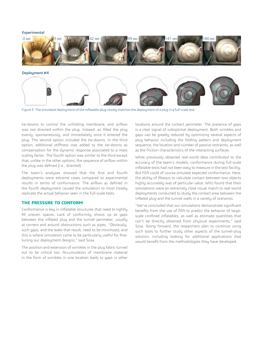#### Experimental





Figure 3. The simulated deployment of the inflatable plug closely matches the deployment of a plug in a full-scale test.

tie-downs to control the unfolding membrane, and airflow was not directed within the plug. Instead, air filled the plug evenly, spontaneously, and immediately once it entered the plug. The second option included the tie-downs. In the third option, additional stiffness was added to the tie-downs as compensation for the dynamic response associated to a mass scaling factor. The fourth option was similar to the third except that, unlike in the other options, the sequence of airflow within the plug was defined (i.e., directed).

The team's analyses showed that the first and fourth deployments were extreme cases compared to experimental results in terms of conformance. The airflow as defined in the fourth deployment caused the simulation to most closely replicate the actual behavior seen in the full-scale tests.

## **THE PRESSURE TO CONFORM**

Conformance is key in inflatable structures that need to tightly fill uneven spaces. Lack of conformity shows up as gaps between the inflated plug and the tunnel perimeter, usually at corners and around obstructions such as pipes. "Obviously, such gaps, and the leaks that result, need to be minimized, and this is where simulation came to be particularly useful for finetuning our deployment designs," said Sosa.

The position and extension of wrinkles in the plug fabric turned out to be critical too. Accumulation of membrane material in the form of wrinkles in one location leads to gaps in other

locations around the contact perimeter. The presence of gaps is a clear signal of suboptimal deployment. Both wrinkles and gaps can be greatly reduced by optimizing several aspects of plug behavior including the folding pattern and deployment sequence, the location and number of passive restraints, as well as the friction characteristics of the interacting surfaces.

While previously obtained real-world data contributed to the accuracy of the team's models, conformance during full-scale inflatable tests had not been easy to measure in the test facility. But FEA could of course simulate expected conformance. Here, the ability of Abaqus to calculate contact between two objects highly accurately was of particular value: WVU found that their simulations were an extremely close visual match to real-world deployments conducted to study the contact area between the inflated plug and the tunnel walls in a variety of scenarios.

"We've concluded that our simulations demonstrate significant benefits from the use of FEA to predict the behavior of largescale confined inflatables, as well as estimate quantities that can't be directly obtained from physical experiments," said Sosa. Going forward, the researchers plan to continue using such tools to further study other aspects of the tunnel-plug solution, including looking for additional applications that would benefit from the methodologies they have developed.